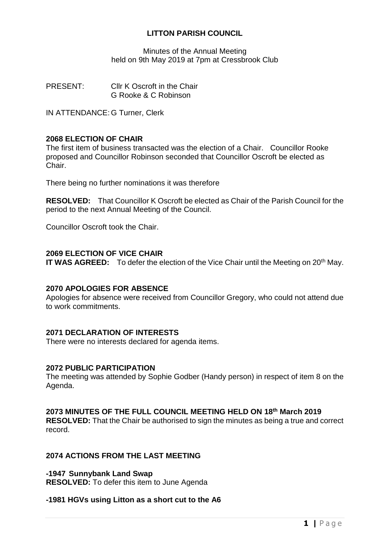# **LITTON PARISH COUNCIL**

Minutes of the Annual Meeting held on 9th May 2019 at 7pm at Cressbrook Club

PRESENT: Cllr K Oscroft in the Chair G Rooke & C Robinson

IN ATTENDANCE: G Turner, Clerk

### **2068 ELECTION OF CHAIR**

The first item of business transacted was the election of a Chair. Councillor Rooke proposed and Councillor Robinson seconded that Councillor Oscroft be elected as Chair.

There being no further nominations it was therefore

**RESOLVED:** That Councillor K Oscroft be elected as Chair of the Parish Council for the period to the next Annual Meeting of the Council.

Councillor Oscroft took the Chair.

#### **2069 ELECTION OF VICE CHAIR**

**IT WAS AGREED:** To defer the election of the Vice Chair until the Meeting on 20<sup>th</sup> May.

# **2070 APOLOGIES FOR ABSENCE**

Apologies for absence were received from Councillor Gregory, who could not attend due to work commitments.

# **2071 DECLARATION OF INTERESTS**

There were no interests declared for agenda items.

# **2072 PUBLIC PARTICIPATION**

The meeting was attended by Sophie Godber (Handy person) in respect of item 8 on the Agenda.

# **2073 MINUTES OF THE FULL COUNCIL MEETING HELD ON 18th March 2019**

**RESOLVED:** That the Chair be authorised to sign the minutes as being a true and correct record.

#### **2074 ACTIONS FROM THE LAST MEETING**

**-1947 Sunnybank Land Swap RESOLVED:** To defer this item to June Agenda

#### **-1981 HGVs using Litton as a short cut to the A6**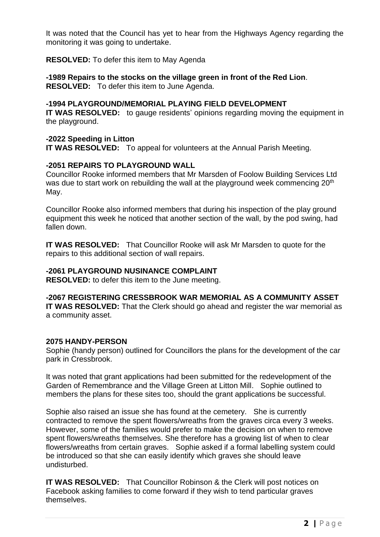It was noted that the Council has yet to hear from the Highways Agency regarding the monitoring it was going to undertake.

**RESOLVED:** To defer this item to May Agenda

**-1989 Repairs to the stocks on the village green in front of the Red Lion**. **RESOLVED:** To defer this item to June Agenda.

### **-1994 PLAYGROUND/MEMORIAL PLAYING FIELD DEVELOPMENT**

**IT WAS RESOLVED:** to gauge residents' opinions regarding moving the equipment in the playground.

# **-2022 Speeding in Litton**

**IT WAS RESOLVED:** To appeal for volunteers at the Annual Parish Meeting.

# **-2051 REPAIRS TO PLAYGROUND WALL**

Councillor Rooke informed members that Mr Marsden of Foolow Building Services Ltd was due to start work on rebuilding the wall at the playground week commencing 20<sup>th</sup> May.

Councillor Rooke also informed members that during his inspection of the play ground equipment this week he noticed that another section of the wall, by the pod swing, had fallen down.

**IT WAS RESOLVED:** That Councillor Rooke will ask Mr Marsden to quote for the repairs to this additional section of wall repairs.

# **-2061 PLAYGROUND NUSINANCE COMPLAINT**

**RESOLVED:** to defer this item to the June meeting.

**-2067 REGISTERING CRESSBROOK WAR MEMORIAL AS A COMMUNITY ASSET IT WAS RESOLVED:** That the Clerk should go ahead and register the war memorial as a community asset.

# **2075 HANDY-PERSON**

Sophie (handy person) outlined for Councillors the plans for the development of the car park in Cressbrook.

It was noted that grant applications had been submitted for the redevelopment of the Garden of Remembrance and the Village Green at Litton Mill. Sophie outlined to members the plans for these sites too, should the grant applications be successful.

Sophie also raised an issue she has found at the cemetery. She is currently contracted to remove the spent flowers/wreaths from the graves circa every 3 weeks. However, some of the families would prefer to make the decision on when to remove spent flowers/wreaths themselves. She therefore has a growing list of when to clear flowers/wreaths from certain graves. Sophie asked if a formal labelling system could be introduced so that she can easily identify which graves she should leave undisturbed.

**IT WAS RESOLVED:** That Councillor Robinson & the Clerk will post notices on Facebook asking families to come forward if they wish to tend particular graves themselves.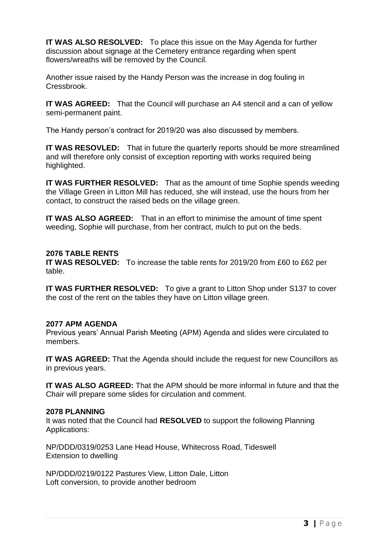**IT WAS ALSO RESOLVED:** To place this issue on the May Agenda for further discussion about signage at the Cemetery entrance regarding when spent flowers/wreaths will be removed by the Council.

Another issue raised by the Handy Person was the increase in dog fouling in Cressbrook.

**IT WAS AGREED:** That the Council will purchase an A4 stencil and a can of yellow semi-permanent paint.

The Handy person's contract for 2019/20 was also discussed by members.

**IT WAS RESOVLED:** That in future the quarterly reports should be more streamlined and will therefore only consist of exception reporting with works required being highlighted.

**IT WAS FURTHER RESOLVED:** That as the amount of time Sophie spends weeding the Village Green in Litton Mill has reduced, she will instead, use the hours from her contact, to construct the raised beds on the village green.

**IT WAS ALSO AGREED:** That in an effort to minimise the amount of time spent weeding, Sophie will purchase, from her contract, mulch to put on the beds.

#### **2076 TABLE RENTS**

**IT WAS RESOLVED:** To increase the table rents for 2019/20 from £60 to £62 per table.

**IT WAS FURTHER RESOLVED:** To give a grant to Litton Shop under S137 to cover the cost of the rent on the tables they have on Litton village green.

#### **2077 APM AGENDA**

Previous years' Annual Parish Meeting (APM) Agenda and slides were circulated to members.

**IT WAS AGREED:** That the Agenda should include the request for new Councillors as in previous years.

**IT WAS ALSO AGREED:** That the APM should be more informal in future and that the Chair will prepare some slides for circulation and comment.

#### **2078 PLANNING**

It was noted that the Council had **RESOLVED** to support the following Planning Applications:

NP/DDD/0319/0253 Lane Head House, Whitecross Road, Tideswell Extension to dwelling

NP/DDD/0219/0122 Pastures View, Litton Dale, Litton Loft conversion, to provide another bedroom